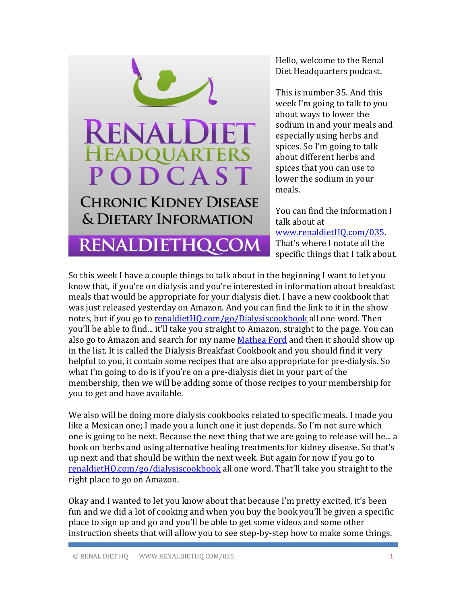

Hello, welcome to the Renal Diet Headquarters podcast.

This is number 35. And this week I'm going to talk to you about ways to lower the sodium in and your meals and especially using herbs and spices. So I'm going to talk about different herbs and spices that you can use to lower the sodium in your meals.

You can find the information I talk about at [www.renaldietHQ.com/035.](file:///C:/Users/Dorsa/AppData/Roaming/Microsoft/Word/www.renaldietHQ.com/035)  That's where I notate all the specific things that I talk about.

So this week I have a couple things to talk about in the beginning I want to let you know that, if you're on dialysis and you're interested in information about breakfast meals that would be appropriate for your dialysis diet. I have a new cookbook that was just released yesterday on Amazon. And you can find the link to it in the show notes, but if you go to [renaldietHQ.com/go/Dialysiscookbook](http://www.renaldiethq.com/go/Dialysiscookbook) all one word. Then you'll be able to find... it'll take you straight to Amazon, straight to the page. You can also go to Amazon and search for my name [Mathea Ford](http://www.amazon.com/s/ref=nb_sb_ss_c_0_11?url=search-alias%3Dstripbooks&field-keywords=mathea+ford&sprefix=mathea+ford%2Caps%2C279) and then it should show up in the list. It is called the Dialysis Breakfast Cookbook and you should find it very helpful to you, it contain some recipes that are also appropriate for pre-dialysis. So what I'm going to do is if you're on a pre-dialysis diet in your part of the membership, then we will be adding some of those recipes to your membership for you to get and have available.

We also will be doing more dialysis cookbooks related to specific meals. I made you like a Mexican one; I made you a lunch one it just depends. So I'm not sure which one is going to be next. Because the next thing that we are going to release will be... a book on herbs and using alternative healing treatments for kidney disease. So that's up next and that should be within the next week. But again for now if you go to [renaldietHQ.com/go/dialysiscookbook](http://www.renaldiethq.com/go/dialysiscookbook) all one word. That'll take you straight to the right place to go on Amazon.

Okay and I wanted to let you know about that because I'm pretty excited, it's been fun and we did a lot of cooking and when you buy the book you'll be given a specific place to sign up and go and you'll be able to get some videos and some other instruction sheets that will allow you to see step-by-step how to make some things.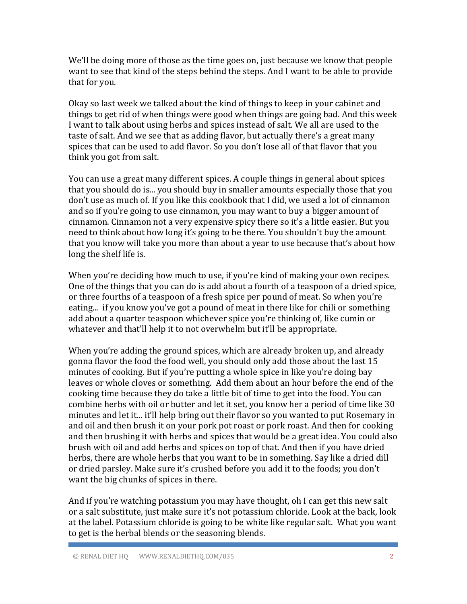We'll be doing more of those as the time goes on, just because we know that people want to see that kind of the steps behind the steps. And I want to be able to provide that for you.

Okay so last week we talked about the kind of things to keep in your cabinet and things to get rid of when things were good when things are going bad. And this week I want to talk about using herbs and spices instead of salt. We all are used to the taste of salt. And we see that as adding flavor, but actually there's a great many spices that can be used to add flavor. So you don't lose all of that flavor that you think you got from salt.

You can use a great many different spices. A couple things in general about spices that you should do is... you should buy in smaller amounts especially those that you don't use as much of. If you like this cookbook that I did, we used a lot of cinnamon and so if you're going to use cinnamon, you may want to buy a bigger amount of cinnamon. Cinnamon not a very expensive spicy there so it's a little easier. But you need to think about how long it's going to be there. You shouldn't buy the amount that you know will take you more than about a year to use because that's about how long the shelf life is.

When you're deciding how much to use, if you're kind of making your own recipes. One of the things that you can do is add about a fourth of a teaspoon of a dried spice, or three fourths of a teaspoon of a fresh spice per pound of meat. So when you're eating... if you know you've got a pound of meat in there like for chili or something add about a quarter teaspoon whichever spice you're thinking of, like cumin or whatever and that'll help it to not overwhelm but it'll be appropriate.

When you're adding the ground spices, which are already broken up, and already gonna flavor the food the food well, you should only add those about the last 15 minutes of cooking. But if you're putting a whole spice in like you're doing bay leaves or whole cloves or something. Add them about an hour before the end of the cooking time because they do take a little bit of time to get into the food. You can combine herbs with oil or butter and let it set, you know her a period of time like 30 minutes and let it... it'll help bring out their flavor so you wanted to put Rosemary in and oil and then brush it on your pork pot roast or pork roast. And then for cooking and then brushing it with herbs and spices that would be a great idea. You could also brush with oil and add herbs and spices on top of that. And then if you have dried herbs, there are whole herbs that you want to be in something. Say like a dried dill or dried parsley. Make sure it's crushed before you add it to the foods; you don't want the big chunks of spices in there.

And if you're watching potassium you may have thought, oh I can get this new salt or a salt substitute, just make sure it's not potassium chloride. Look at the back, look at the label. Potassium chloride is going to be white like regular salt. What you want to get is the herbal blends or the seasoning blends.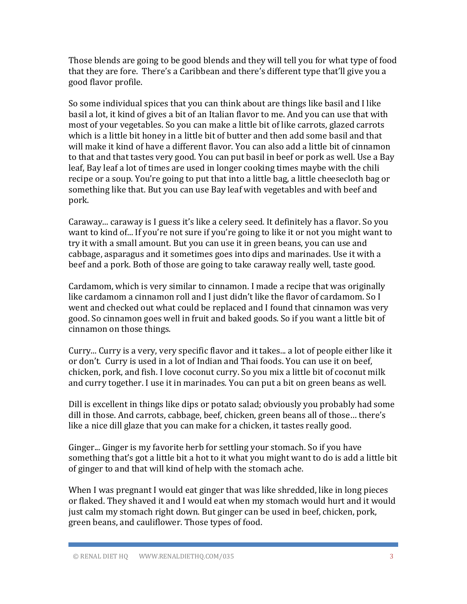Those blends are going to be good blends and they will tell you for what type of food that they are fore. There's a Caribbean and there's different type that'll give you a good flavor profile.

So some individual spices that you can think about are things like basil and I like basil a lot, it kind of gives a bit of an Italian flavor to me. And you can use that with most of your vegetables. So you can make a little bit of like carrots, glazed carrots which is a little bit honey in a little bit of butter and then add some basil and that will make it kind of have a different flavor. You can also add a little bit of cinnamon to that and that tastes very good. You can put basil in beef or pork as well. Use a Bay leaf, Bay leaf a lot of times are used in longer cooking times maybe with the chili recipe or a soup. You're going to put that into a little bag, a little cheesecloth bag or something like that. But you can use Bay leaf with vegetables and with beef and pork.

Caraway... caraway is I guess it's like a celery seed. It definitely has a flavor. So you want to kind of... If you're not sure if you're going to like it or not you might want to try it with a small amount. But you can use it in green beans, you can use and cabbage, asparagus and it sometimes goes into dips and marinades. Use it with a beef and a pork. Both of those are going to take caraway really well, taste good.

Cardamom, which is very similar to cinnamon. I made a recipe that was originally like cardamom a cinnamon roll and I just didn't like the flavor of cardamom. So I went and checked out what could be replaced and I found that cinnamon was very good. So cinnamon goes well in fruit and baked goods. So if you want a little bit of cinnamon on those things.

Curry... Curry is a very, very specific flavor and it takes... a lot of people either like it or don't. Curry is used in a lot of Indian and Thai foods. You can use it on beef, chicken, pork, and fish. I love coconut curry. So you mix a little bit of coconut milk and curry together. I use it in marinades. You can put a bit on green beans as well.

Dill is excellent in things like dips or potato salad; obviously you probably had some dill in those. And carrots, cabbage, beef, chicken, green beans all of those… there's like a nice dill glaze that you can make for a chicken, it tastes really good.

Ginger... Ginger is my favorite herb for settling your stomach. So if you have something that's got a little bit a hot to it what you might want to do is add a little bit of ginger to and that will kind of help with the stomach ache.

When I was pregnant I would eat ginger that was like shredded, like in long pieces or flaked. They shaved it and I would eat when my stomach would hurt and it would just calm my stomach right down. But ginger can be used in beef, chicken, pork, green beans, and cauliflower. Those types of food.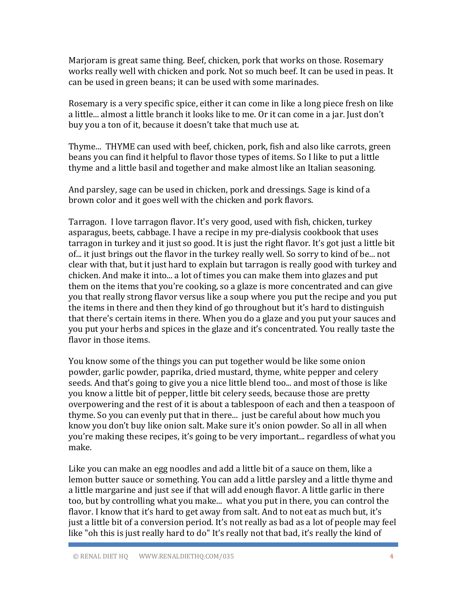Marjoram is great same thing. Beef, chicken, pork that works on those. Rosemary works really well with chicken and pork. Not so much beef. It can be used in peas. It can be used in green beans; it can be used with some marinades.

Rosemary is a very specific spice, either it can come in like a long piece fresh on like a little... almost a little branch it looks like to me. Or it can come in a jar. Just don't buy you a ton of it, because it doesn't take that much use at.

Thyme... THYME can used with beef, chicken, pork, fish and also like carrots, green beans you can find it helpful to flavor those types of items. So I like to put a little thyme and a little basil and together and make almost like an Italian seasoning.

And parsley, sage can be used in chicken, pork and dressings. Sage is kind of a brown color and it goes well with the chicken and pork flavors.

Tarragon. I love tarragon flavor. It's very good, used with fish, chicken, turkey asparagus, beets, cabbage. I have a recipe in my pre-dialysis cookbook that uses tarragon in turkey and it just so good. It is just the right flavor. It's got just a little bit of... it just brings out the flavor in the turkey really well. So sorry to kind of be... not clear with that, but it just hard to explain but tarragon is really good with turkey and chicken. And make it into... a lot of times you can make them into glazes and put them on the items that you're cooking, so a glaze is more concentrated and can give you that really strong flavor versus like a soup where you put the recipe and you put the items in there and then they kind of go throughout but it's hard to distinguish that there's certain items in there. When you do a glaze and you put your sauces and you put your herbs and spices in the glaze and it's concentrated. You really taste the flavor in those items.

You know some of the things you can put together would be like some onion powder, garlic powder, paprika, dried mustard, thyme, white pepper and celery seeds. And that's going to give you a nice little blend too... and most of those is like you know a little bit of pepper, little bit celery seeds, because those are pretty overpowering and the rest of it is about a tablespoon of each and then a teaspoon of thyme. So you can evenly put that in there... just be careful about how much you know you don't buy like onion salt. Make sure it's onion powder. So all in all when you're making these recipes, it's going to be very important... regardless of what you make.

Like you can make an egg noodles and add a little bit of a sauce on them, like a lemon butter sauce or something. You can add a little parsley and a little thyme and a little margarine and just see if that will add enough flavor. A little garlic in there too, but by controlling what you make... what you put in there, you can control the flavor. I know that it's hard to get away from salt. And to not eat as much but, it's just a little bit of a conversion period. It's not really as bad as a lot of people may feel like "oh this is just really hard to do" It's really not that bad, it's really the kind of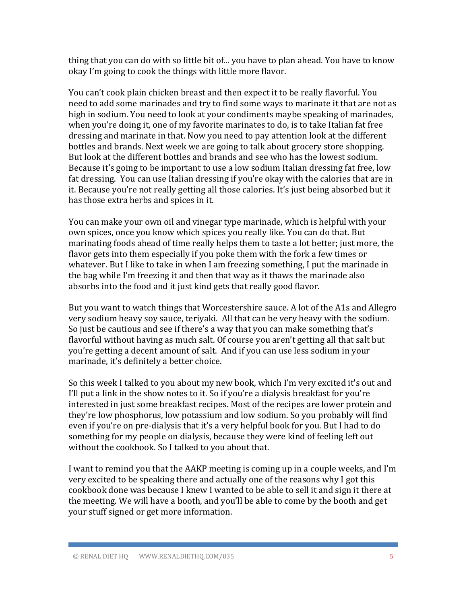thing that you can do with so little bit of... you have to plan ahead. You have to know okay I'm going to cook the things with little more flavor.

You can't cook plain chicken breast and then expect it to be really flavorful. You need to add some marinades and try to find some ways to marinate it that are not as high in sodium. You need to look at your condiments maybe speaking of marinades, when you're doing it, one of my favorite marinates to do, is to take Italian fat free dressing and marinate in that. Now you need to pay attention look at the different bottles and brands. Next week we are going to talk about grocery store shopping. But look at the different bottles and brands and see who has the lowest sodium. Because it's going to be important to use a low sodium Italian dressing fat free, low fat dressing. You can use Italian dressing if you're okay with the calories that are in it. Because you're not really getting all those calories. It's just being absorbed but it has those extra herbs and spices in it.

You can make your own oil and vinegar type marinade, which is helpful with your own spices, once you know which spices you really like. You can do that. But marinating foods ahead of time really helps them to taste a lot better; just more, the flavor gets into them especially if you poke them with the fork a few times or whatever. But I like to take in when I am freezing something, I put the marinade in the bag while I'm freezing it and then that way as it thaws the marinade also absorbs into the food and it just kind gets that really good flavor.

But you want to watch things that Worcestershire sauce. A lot of the A1s and Allegro very sodium heavy soy sauce, teriyaki. All that can be very heavy with the sodium. So just be cautious and see if there's a way that you can make something that's flavorful without having as much salt. Of course you aren't getting all that salt but you're getting a decent amount of salt. And if you can use less sodium in your marinade, it's definitely a better choice.

So this week I talked to you about my new book, which I'm very excited it's out and I'll put a link in the show notes to it. So if you're a dialysis breakfast for you're interested in just some breakfast recipes. Most of the recipes are lower protein and they're low phosphorus, low potassium and low sodium. So you probably will find even if you're on pre-dialysis that it's a very helpful book for you. But I had to do something for my people on dialysis, because they were kind of feeling left out without the cookbook. So I talked to you about that.

I want to remind you that the AAKP meeting is coming up in a couple weeks, and I'm very excited to be speaking there and actually one of the reasons why I got this cookbook done was because I knew I wanted to be able to sell it and sign it there at the meeting. We will have a booth, and you'll be able to come by the booth and get your stuff signed or get more information.